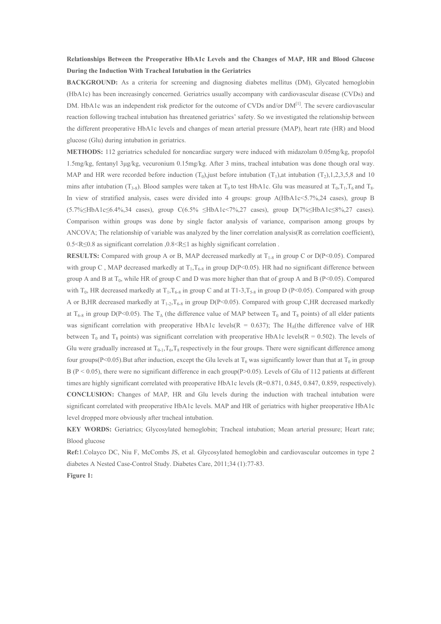## **Relationships Between the Preoperative HbA1c Levels and the Changes of MAP, HR and Blood Glucose During the Induction With Tracheal Intubation in the Geriatrics**

**BACKGROUND:** As a criteria for screening and diagnosing diabetes mellitus (DM), Glycated hemoglobin (HbA1c) has been increasingly concerned. Geriatrics usually accompany with cardiovascular disease (CVDs) and DM. HbA1c was an independent risk predictor for the outcome of CVDs and/or DM<sup>[1]</sup>. The severe cardiovascular reaction following tracheal intubation has threatened geriatrics' safety. So we investigated the relationship between the different preoperative HbA1c levels and changes of mean arterial pressure (MAP), heart rate (HR) and blood glucose (Glu) during intubation in geriatrics.

**METHODS:** 112 geriatrics scheduled for noncardiac surgery were induced with midazolam 0.05mg/kg, propofol 1.5mg/kg, fentanyl 3µg/kg, vecuronium 0.15mg/kg. After 3 mins, tracheal intubation was done though oral way. MAP and HR were recorded before induction  $(T_0)$ , just before intubation  $(T_1)$ , at intubation  $(T_2)$ , 1, 2, 3, 5, 8 and 10 mins after intubation  $(T_{3-8})$ . Blood samples were taken at T<sub>0</sub> to test HbA1c. Glu was measured at T<sub>0</sub>,T<sub>1</sub>,T<sub>6</sub> and T<sub>8</sub>. In view of stratified analysis, cases were divided into 4 groups: group A(HbA1c<5.7%,24 cases), group B (5.7%≤HbA1c≤6.4%,34 cases), group C(6.5% ≤HbA1c<7%,27 cases), group D(7%≤HbA1c≤8%,27 cases). Comparison within groups was done by single factor analysis of variance, comparison among groups by ANCOVA; The relationship of variable was analyzed by the liner correlation analysis(R as correlation coefficient), 0.5<R≤0.8 as significant correlation ,0.8<R≤1 as highly significant correlation .

**RESULTS:** Compared with group A or B, MAP decreased markedly at  $T_{1.8}$  in group C or D(P<0.05). Compared with group C, MAP decreased markedly at  $T_1, T_{6-8}$  in group D(P<0.05). HR had no significant difference between group A and B at  $T_0$ , while HR of group C and D was more higher than that of group A and B (P<0.05). Compared with  $T_0$ , HR decreased markedly at  $T_1, T_{6-8}$  in group C and at T1-3,  $T_{5-8}$  in group D (P<0.05). Compared with group A or B,HR decreased markedly at  $T_{1-2}$ ,  $T_{6-8}$  in group D(P<0.05). Compared with group C,HR decreased markedly at  $T_{6-8}$  in group D(P<0.05). The T<sub>Δ</sub> (the difference value of MAP between T<sub>0</sub> and T<sub>8</sub> points) of all elder patients was significant correlation with preoperative HbA1c levels( $R = 0.637$ ); The H<sub>Δ</sub>(the difference valve of HR between  $T_0$  and  $T_8$  points) was significant correlation with preoperative HbA1c levels( $R = 0.502$ ). The levels of Glu were gradually increased at  $T_{0-1}, T_6, T_8$  respectively in the four groups. There were significant difference among four groups(P<0.05).But after induction, except the Glu levels at  $T_6$  was significantly lower than that at  $T_0$  in group  $B (P < 0.05)$ , there were no significant difference in each group(P>0.05). Levels of Glu of 112 patients at different times are highly significant correlated with preoperative HbA1c levels (R=0.871, 0.845, 0.847, 0.859, respectively). **CONCLUSION:** Changes of MAP, HR and Glu levels during the induction with tracheal intubation were significant correlated with preoperative HbA1c levels. MAP and HR of geriatrics with higher preoperative HbA1c level dropped more obviously after tracheal intubation.

**KEY WORDS:** Geriatrics; Glycosylated hemoglobin; Tracheal intubation; Mean arterial pressure; Heart rate; Blood glucose

**Ref:**1.Colayco DC, Niu F, McCombs JS, et al. Glycosylated hemoglobin and cardiovascular outcomes in type 2 diabetes A Nested Case-Control Study. Diabetes Care, 2011;34 (1):77-83.

**Figure 1:**